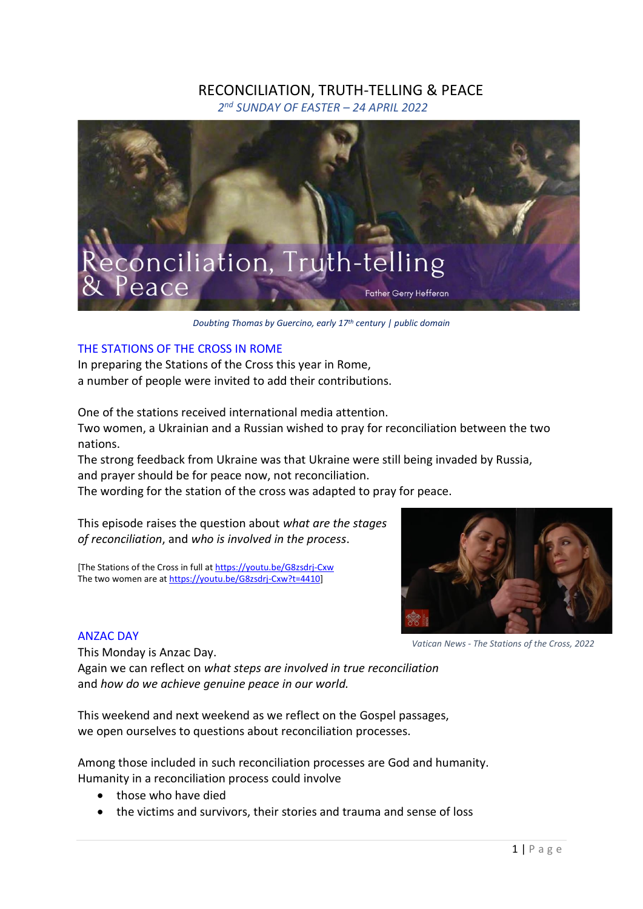# RECONCILIATION, TRUTH-TELLING & PEACE

*2 nd SUNDAY OF EASTER – 24 APRIL 2022*



*Doubting Thomas by Guercino, early 17th century | public domain*

# THE STATIONS OF THE CROSS IN ROME

In preparing the Stations of the Cross this year in Rome, a number of people were invited to add their contributions.

One of the stations received international media attention. Two women, a Ukrainian and a Russian wished to pray for reconciliation between the two nations.

The strong feedback from Ukraine was that Ukraine were still being invaded by Russia, and prayer should be for peace now, not reconciliation.

The wording for the station of the cross was adapted to pray for peace.

This episode raises the question about *what are the stages of reconciliation*, and *who is involved in the process*.

[The Stations of the Cross in full at <https://youtu.be/G8zsdrj-Cxw> The two women are at [https://youtu.be/G8zsdrj-Cxw?t=4410\]](https://youtu.be/G8zsdrj-Cxw?t=4410)



*Vatican News - The Stations of the Cross, 2022*

ANZAC DAY

This Monday is Anzac Day. Again we can reflect on *what steps are involved in true reconciliation* and *how do we achieve genuine peace in our world.*

This weekend and next weekend as we reflect on the Gospel passages, we open ourselves to questions about reconciliation processes.

Among those included in such reconciliation processes are God and humanity. Humanity in a reconciliation process could involve

- those who have died
- the victims and survivors, their stories and trauma and sense of loss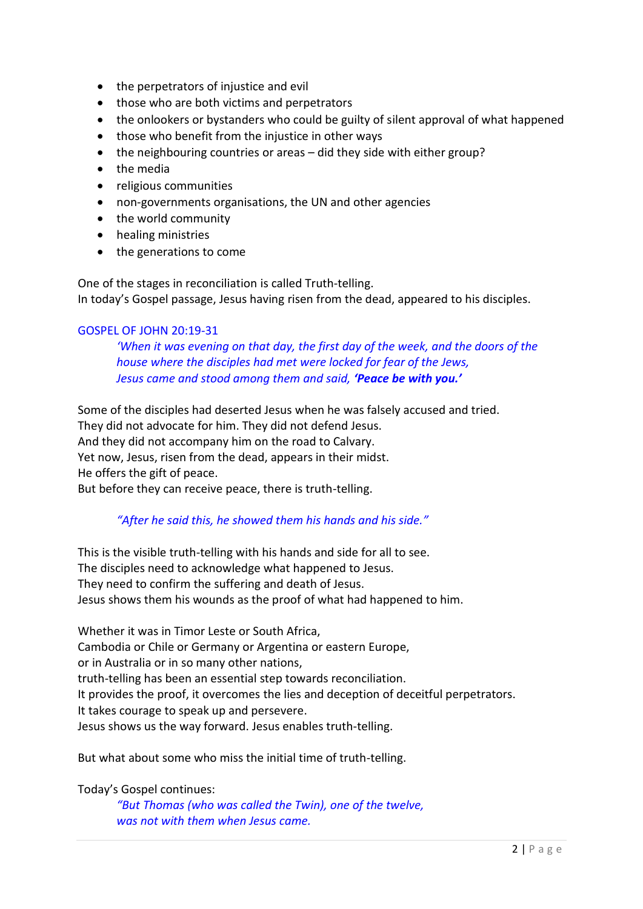- the perpetrators of injustice and evil
- those who are both victims and perpetrators
- the onlookers or bystanders who could be guilty of silent approval of what happened
- those who benefit from the injustice in other ways
- the neighbouring countries or areas did they side with either group?
- the media
- religious communities
- non-governments organisations, the UN and other agencies
- the world community
- healing ministries
- the generations to come

One of the stages in reconciliation is called Truth-telling. In today's Gospel passage, Jesus having risen from the dead, appeared to his disciples.

#### GOSPEL OF JOHN 20:19-31

*'When it was evening on that day, the first day of the week, and the doors of the house where the disciples had met were locked for fear of the Jews, Jesus came and stood among them and said, 'Peace be with you.'*

Some of the disciples had deserted Jesus when he was falsely accused and tried. They did not advocate for him. They did not defend Jesus. And they did not accompany him on the road to Calvary. Yet now, Jesus, risen from the dead, appears in their midst. He offers the gift of peace. But before they can receive peace, there is truth-telling.

# *"After he said this, he showed them his hands and his side."*

This is the visible truth-telling with his hands and side for all to see. The disciples need to acknowledge what happened to Jesus. They need to confirm the suffering and death of Jesus. Jesus shows them his wounds as the proof of what had happened to him.

Whether it was in Timor Leste or South Africa, Cambodia or Chile or Germany or Argentina or eastern Europe, or in Australia or in so many other nations, truth-telling has been an essential step towards reconciliation. It provides the proof, it overcomes the lies and deception of deceitful perpetrators. It takes courage to speak up and persevere. Jesus shows us the way forward. Jesus enables truth-telling.

But what about some who miss the initial time of truth-telling.

Today's Gospel continues:

*"But Thomas (who was called the Twin), one of the twelve, was not with them when Jesus came.*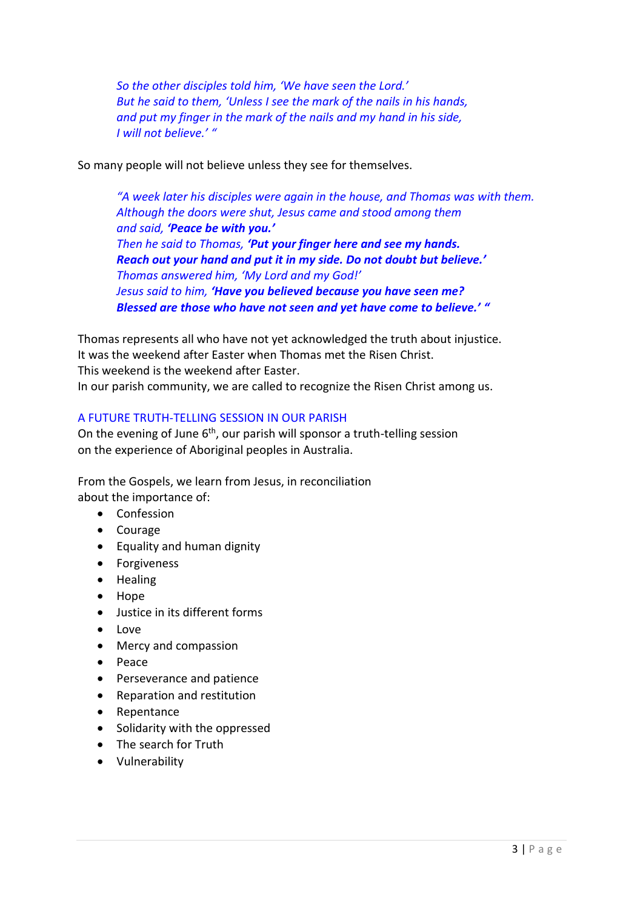*So the other disciples told him, 'We have seen the Lord.' But he said to them, 'Unless I see the mark of the nails in his hands, and put my finger in the mark of the nails and my hand in his side, I will not believe.' "*

So many people will not believe unless they see for themselves.

*"A week later his disciples were again in the house, and Thomas was with them. Although the doors were shut, Jesus came and stood among them and said, 'Peace be with you.' Then he said to Thomas, 'Put your finger here and see my hands. Reach out your hand and put it in my side. Do not doubt but believe.' Thomas answered him, 'My Lord and my God!' Jesus said to him, 'Have you believed because you have seen me? Blessed are those who have not seen and yet have come to believe.' "*

Thomas represents all who have not yet acknowledged the truth about injustice. It was the weekend after Easter when Thomas met the Risen Christ. This weekend is the weekend after Easter. In our parish community, we are called to recognize the Risen Christ among us.

#### A FUTURE TRUTH-TELLING SESSION IN OUR PARISH

On the evening of June  $6<sup>th</sup>$ , our parish will sponsor a truth-telling session on the experience of Aboriginal peoples in Australia.

From the Gospels, we learn from Jesus, in reconciliation about the importance of:

- Confession
- Courage
- Equality and human dignity
- Forgiveness
- Healing
- Hope
- Justice in its different forms
- Love
- Mercy and compassion
- Peace
- Perseverance and patience
- Reparation and restitution
- Repentance
- Solidarity with the oppressed
- The search for Truth
- Vulnerability